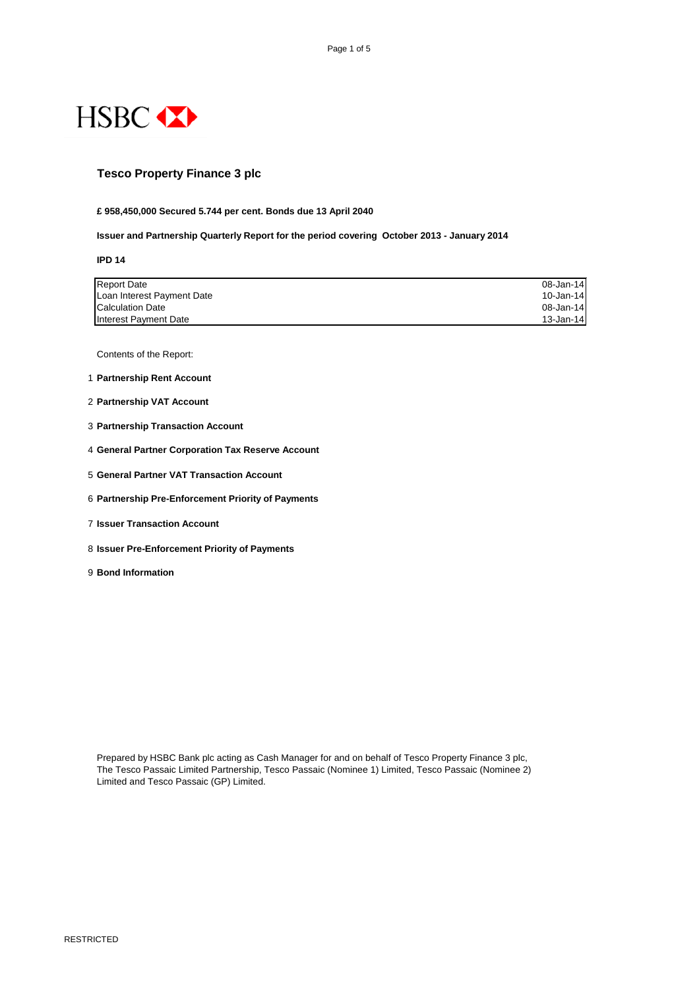

RESTRICTED

## **Tesco Property Finance 3 plc**

**£ 958,450,000 Secured 5.744 per cent. Bonds due 13 April 2040**

**Issuer and Partnership Quarterly Report for the period covering October 2013 - January 2014**

**IPD 14**

| <b>Report Date</b>         | 08-Jan-14     |
|----------------------------|---------------|
| Loan Interest Payment Date | 10-Jan-14     |
| <b>Calculation Date</b>    | 08-Jan-14     |
| Interest Payment Date      | $13 - Jan-14$ |

Contents of the Report:

- 1 **Partnership Rent Account**
- 2 **Partnership VAT Account**
- 3 **Partnership Transaction Account**
- 4 **General Partner Corporation Tax Reserve Account**
- 5 **General Partner VAT Transaction Account**
- 6 **Partnership Pre-Enforcement Priority of Payments**
- 7 **Issuer Transaction Account**
- 8 **Issuer Pre-Enforcement Priority of Payments**
- 9 **Bond Information**

The Tesco Passaic Limited Partnership, Tesco Passaic (Nominee 1) Limited, Tesco Passaic (Nominee 2) Limited and Tesco Passaic (GP) Limited.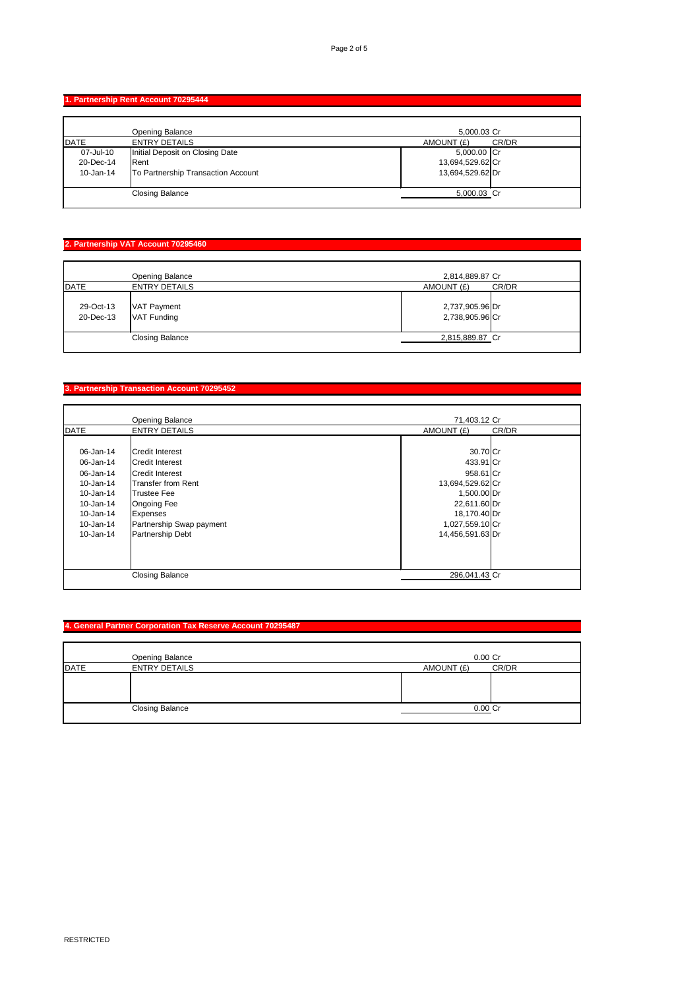RESTRICTED

#### **1. Partnership Rent Account 70295444**

|               | <b>Opening Balance</b>             | 5,000.03 Cr      |       |
|---------------|------------------------------------|------------------|-------|
| DATE          | <b>ENTRY DETAILS</b>               | AMOUNT (£)       | CR/DR |
| 07-Jul-10     | Initial Deposit on Closing Date    | 5,000.00 Cr      |       |
| 20-Dec-14     | Rent                               | 13,694,529.62 Cr |       |
| $10 - Jan-14$ | To Partnership Transaction Account | 13,694,529.62 Dr |       |
|               |                                    |                  |       |
|               | <b>Closing Balance</b>             | 5,000.03 Cr      |       |
|               |                                    |                  |       |

## **2. Partnership VAT Account 70295460**

|                        | <b>Opening Balance</b>     | 2,814,889.87 Cr                    |       |
|------------------------|----------------------------|------------------------------------|-------|
| DATE                   | <b>ENTRY DETAILS</b>       | AMOUNT (£)                         | CR/DR |
| 29-Oct-13<br>20-Dec-13 | VAT Payment<br>VAT Funding | 2,737,905.96 Dr<br>2,738,905.96 Cr |       |
|                        | <b>Closing Balance</b>     | 2,815,889.87 Cr                    |       |
|                        |                            |                                    |       |

## **3. Partnership Transaction Account 70295452**

|               | <b>Opening Balance</b>   | 71,403.12 Cr     |       |
|---------------|--------------------------|------------------|-------|
| DATE          | <b>ENTRY DETAILS</b>     | AMOUNT (£)       | CR/DR |
|               |                          |                  |       |
| 06-Jan-14     | <b>Credit Interest</b>   | 30.70 Cr         |       |
| 06-Jan-14     | Credit Interest          | 433.91 Cr        |       |
| 06-Jan-14     | <b>Credit Interest</b>   | 958.61 Cr        |       |
| $10 - Jan-14$ | Transfer from Rent       | 13,694,529.62 Cr |       |
| $10 - Jan-14$ | <b>Trustee Fee</b>       | 1,500.00 Dr      |       |
| $10 - Jan-14$ | <b>Ongoing Fee</b>       | 22,611.60 Dr     |       |
| $10 - Jan-14$ | <b>Expenses</b>          | 18,170.40 Dr     |       |
| $10 - Jan-14$ | Partnership Swap payment | 1,027,559.10 Cr  |       |
| $10 - Jan-14$ | Partnership Debt         | 14,456,591.63 Dr |       |
|               |                          |                  |       |
|               |                          |                  |       |
|               |                          |                  |       |
|               | <b>Closing Balance</b>   | 296,041.43 Cr    |       |

|      | <b>Opening Balance</b> | 0.00 Cr             |
|------|------------------------|---------------------|
| DATE | <b>ENTRY DETAILS</b>   | CR/DR<br>AMOUNT (£) |
|      |                        |                     |
|      |                        |                     |
|      |                        |                     |
|      | <b>Closing Balance</b> | 0.00 Cr             |
|      |                        |                     |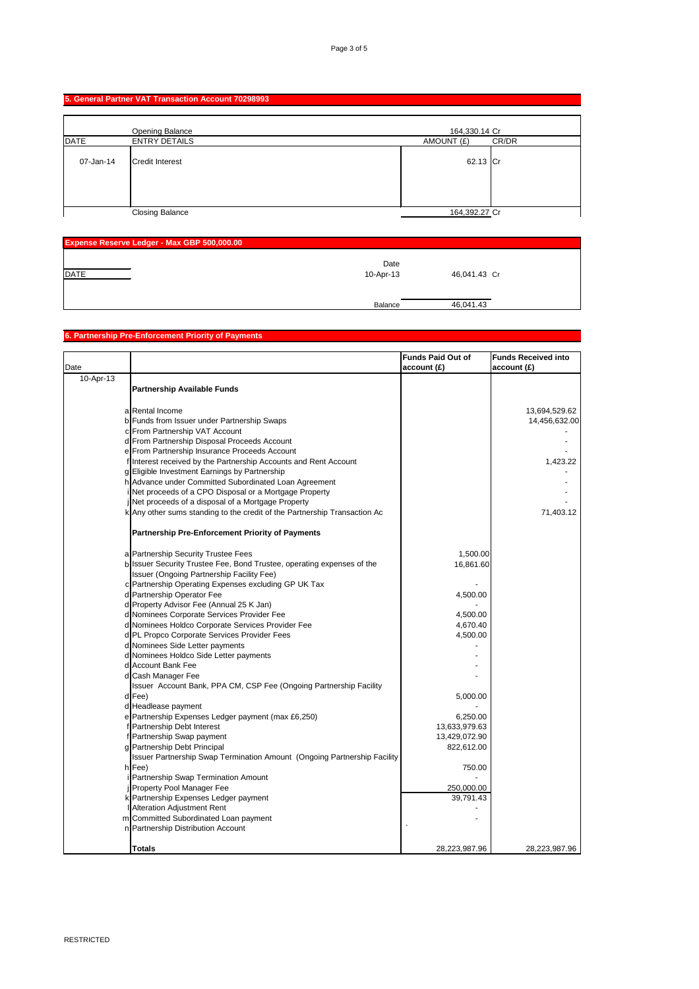#### **5. General Partner VAT Transaction Account 70298993**

|           | <b>Opening Balance</b> | 164,330.14 Cr |       |
|-----------|------------------------|---------------|-------|
| DATE      | <b>ENTRY DETAILS</b>   | AMOUNT (£)    | CR/DR |
| 07-Jan-14 | Credit Interest        | $62.13$ Cr    |       |
|           | <b>Closing Balance</b> | 164,392.27 Cr |       |

| <b>Expense Reserve Ledger - Max GBP 500,000.00</b> |                |              |  |
|----------------------------------------------------|----------------|--------------|--|
|                                                    | Date           |              |  |
| DATE                                               | 10-Apr-13      | 46,041.43 Cr |  |
|                                                    |                |              |  |
|                                                    |                |              |  |
|                                                    | <b>Balance</b> | 46,041.43    |  |

# **6. Partnership Pre-Enforcement Priority of Payments**

| Date      |                                                                                | <b>Funds Paid Out of</b><br>account(E) | <b>Funds Received into</b><br>account(E) |
|-----------|--------------------------------------------------------------------------------|----------------------------------------|------------------------------------------|
| 10-Apr-13 |                                                                                |                                        |                                          |
|           | <b>Partnership Available Funds</b>                                             |                                        |                                          |
|           |                                                                                |                                        |                                          |
|           | a Rental Income                                                                |                                        | 13,694,529.62                            |
|           | b Funds from Issuer under Partnership Swaps                                    |                                        | 14,456,632.00                            |
|           | c From Partnership VAT Account<br>d From Partnership Disposal Proceeds Account |                                        |                                          |
|           | e From Partnership Insurance Proceeds Account                                  |                                        |                                          |
|           |                                                                                |                                        |                                          |
|           | flinterest received by the Partnership Accounts and Rent Account               |                                        | 1,423.22                                 |
|           | g Eligible Investment Earnings by Partnership                                  |                                        |                                          |
|           | h Advance under Committed Subordinated Loan Agreement                          |                                        |                                          |
|           | i Net proceeds of a CPO Disposal or a Mortgage Property                        |                                        |                                          |
|           | jNet proceeds of a disposal of a Mortgage Property                             |                                        |                                          |
|           | k Any other sums standing to the credit of the Partnership Transaction Ac      |                                        | 71,403.12                                |
|           | <b>Partnership Pre-Enforcement Priority of Payments</b>                        |                                        |                                          |
|           | a Partnership Security Trustee Fees                                            | 1,500.00                               |                                          |
|           | b Issuer Security Trustee Fee, Bond Trustee, operating expenses of the         | 16,861.60                              |                                          |
|           | <b>Issuer (Ongoing Partnership Facility Fee)</b>                               |                                        |                                          |
|           | c Partnership Operating Expenses excluding GP UK Tax                           |                                        |                                          |
|           | d Partnership Operator Fee                                                     | 4,500.00                               |                                          |
|           |                                                                                |                                        |                                          |
|           | d Property Advisor Fee (Annual 25 K Jan)                                       |                                        |                                          |
|           | d Nominees Corporate Services Provider Fee                                     | 4,500.00                               |                                          |
|           | d Nominees Holdco Corporate Services Provider Fee                              | 4,670.40                               |                                          |
|           | d PL Propco Corporate Services Provider Fees                                   | 4,500.00                               |                                          |
|           | d Nominees Side Letter payments                                                |                                        |                                          |
|           | d Nominees Holdco Side Letter payments                                         |                                        |                                          |
|           | d Account Bank Fee                                                             |                                        |                                          |
|           | d Cash Manager Fee                                                             |                                        |                                          |
|           | Issuer Account Bank, PPA CM, CSP Fee (Ongoing Partnership Facility             |                                        |                                          |
|           | $d$ Fee)                                                                       | 5,000.00                               |                                          |
|           | d Headlease payment                                                            |                                        |                                          |
|           | e Partnership Expenses Ledger payment (max £6,250)                             | 6,250.00                               |                                          |
|           | f Partnership Debt Interest                                                    | 13,633,979.63                          |                                          |
|           | f Partnership Swap payment                                                     | 13,429,072.90                          |                                          |
|           | g Partnership Debt Principal                                                   | 822,612.00                             |                                          |
|           | Issuer Partnership Swap Termination Amount (Ongoing Partnership Facility       |                                        |                                          |
|           | $h$ <sup>Fee</sup> )                                                           | 750.00                                 |                                          |
|           | i Partnership Swap Termination Amount                                          |                                        |                                          |
|           | Property Pool Manager Fee                                                      | 250,000.00                             |                                          |
|           | k Partnership Expenses Ledger payment                                          | 39,791.43                              |                                          |
|           | <b>I</b> Alteration Adjustment Rent                                            |                                        |                                          |
|           | m Committed Subordinated Loan payment                                          |                                        |                                          |
|           | n Partnership Distribution Account                                             |                                        |                                          |
|           | <b>Totals</b>                                                                  | 28,223,987.96                          | 28,223,987.96                            |
|           |                                                                                |                                        |                                          |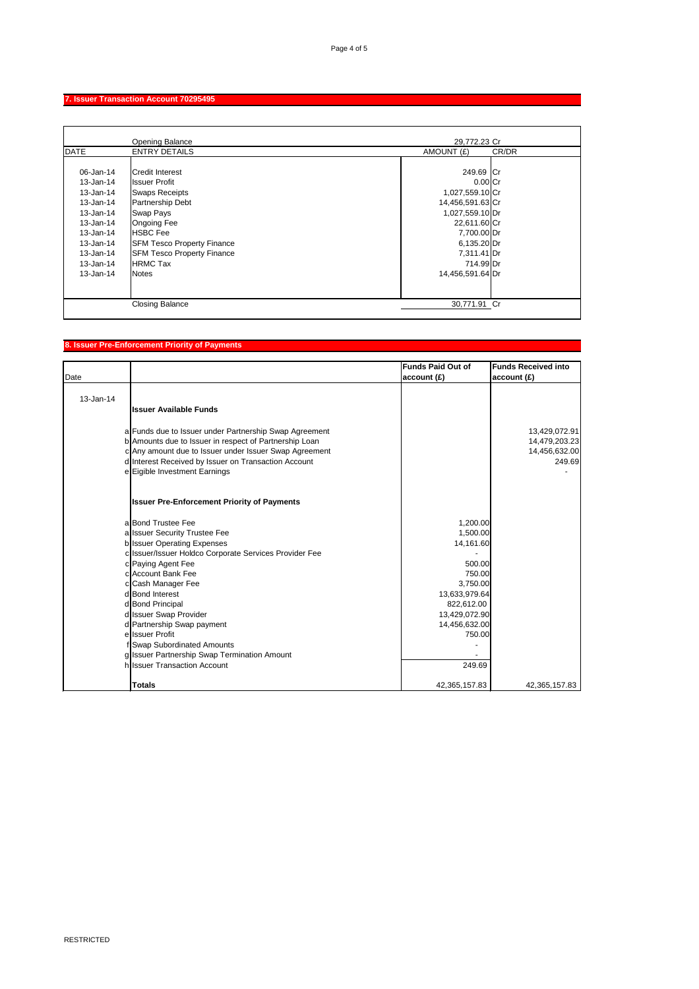RESTRICTED

### **7. Issuer Transaction Account 70295495**

|               | <b>Opening Balance</b>            | 29,772.23 Cr     |       |
|---------------|-----------------------------------|------------------|-------|
| <b>DATE</b>   | <b>ENTRY DETAILS</b>              | AMOUNT (£)       | CR/DR |
|               |                                   |                  |       |
| 06-Jan-14     | <b>Credit Interest</b>            | 249.69 Cr        |       |
| 13-Jan-14     | <b>Issuer Profit</b>              | $0.00$ Cr        |       |
| $13 - Jan-14$ | <b>Swaps Receipts</b>             | 1,027,559.10 Cr  |       |
| 13-Jan-14     | Partnership Debt                  | 14,456,591.63 Cr |       |
| $13 - Jan-14$ | <b>Swap Pays</b>                  | 1,027,559.10 Dr  |       |
| 13-Jan-14     | <b>Ongoing Fee</b>                | 22,611.60 Cr     |       |
| 13-Jan-14     | <b>HSBC</b> Fee                   | 7,700.00 Dr      |       |
| 13-Jan-14     | <b>SFM Tesco Property Finance</b> | 6,135.20 Dr      |       |
| 13-Jan-14     | <b>SFM Tesco Property Finance</b> | 7,311.41 Dr      |       |
| $13 - Jan-14$ | <b>HRMC Tax</b>                   | 714.99 Dr        |       |
| 13-Jan-14     | <b>Notes</b>                      | 14,456,591.64 Dr |       |
|               |                                   |                  |       |
|               |                                   |                  |       |
|               | <b>Closing Balance</b>            | 30,771.91 Cr     |       |

## **8. Issuer Pre-Enforcement Priority of Payments**

| Date      |                                                        | <b>Funds Paid Out of</b><br>account(E) | <b>Funds Received into</b><br>account(E) |
|-----------|--------------------------------------------------------|----------------------------------------|------------------------------------------|
| 13-Jan-14 |                                                        |                                        |                                          |
|           | <b>Issuer Available Funds</b>                          |                                        |                                          |
|           | a Funds due to Issuer under Partnership Swap Agreement |                                        | 13,429,072.91                            |
|           | b Amounts due to Issuer in respect of Partnership Loan |                                        | 14,479,203.23                            |
|           | c Any amount due to Issuer under Issuer Swap Agreement |                                        | 14,456,632.00                            |
|           | d Interest Received by Issuer on Transaction Account   |                                        | 249.69                                   |
|           | e Eigible Investment Earnings                          |                                        |                                          |
|           | <b>Issuer Pre-Enforcement Priority of Payments</b>     |                                        |                                          |
|           | a Bond Trustee Fee                                     | 1,200.00                               |                                          |
|           | a Issuer Security Trustee Fee                          | 1,500.00                               |                                          |
|           | b Issuer Operating Expenses                            | 14,161.60                              |                                          |
|           | c Issuer/Issuer Holdco Corporate Services Provider Fee |                                        |                                          |
|           | c Paying Agent Fee                                     | 500.00                                 |                                          |
|           | c Account Bank Fee                                     | 750.00                                 |                                          |
|           | c Cash Manager Fee                                     | 3,750.00                               |                                          |
|           | d Bond Interest                                        | 13,633,979.64                          |                                          |
|           | d Bond Principal                                       | 822,612.00                             |                                          |
|           | d Issuer Swap Provider                                 | 13,429,072.90                          |                                          |
|           | d Partnership Swap payment                             | 14,456,632.00                          |                                          |
|           | ellssuer Profit                                        | 750.00                                 |                                          |
|           | flQwan Qubordinatod Amounte                            |                                        |                                          |

| <b>Totals</b>                                | 42,365,157.83 | 42,365,157.83 |
|----------------------------------------------|---------------|---------------|
| h Issuer Transaction Account                 | 249.69        |               |
| g Issuer Partnership Swap Termination Amount |               |               |
| <b>I JOWAD SUDDIUMERG AMOUNTS</b>            |               |               |